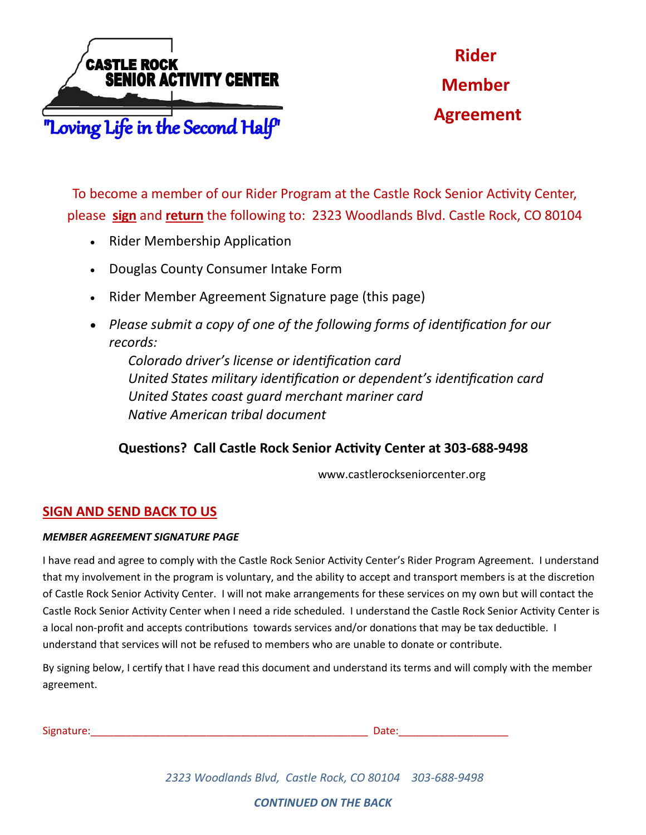

**Rider Member Agreement** 

To become a member of our Rider Program at the Castle Rock Senior Activity Center, please **sign** and **return** the following to: 2323 Woodlands Blvd. Castle Rock, CO 80104

- Rider Membership Application
- Douglas County Consumer Intake Form
- Rider Member Agreement Signature page (this page)
- *Please submit a copy of one of the following forms of identification for our records:*

*Colorado driver's license or identification card United States military identification or dependent's identification card United States coast guard merchant mariner card Native American tribal document*

## **Questions? Call Castle Rock Senior Activity Center at 303-688-9498**

www.castlerockseniorcenter.org

## **SIGN AND SEND BACK TO US**

## *MEMBER AGREEMENT SIGNATURE PAGE*

I have read and agree to comply with the Castle Rock Senior Activity Center's Rider Program Agreement. I understand that my involvement in the program is voluntary, and the ability to accept and transport members is at the discretion of Castle Rock Senior Activity Center. I will not make arrangements for these services on my own but will contact the Castle Rock Senior Activity Center when I need a ride scheduled. I understand the Castle Rock Senior Activity Center is a local non-profit and accepts contributions towards services and/or donations that may be tax deductible. I understand that services will not be refused to members who are unable to donate or contribute.

By signing below, I certify that I have read this document and understand its terms and will comply with the member agreement.

| $\sim$ .<br>Signature | -- |
|-----------------------|----|
|                       |    |

*2323 Woodlands Blvd, Castle Rock, CO 80104 303-688-9498*

*CONTINUED ON THE BACK*